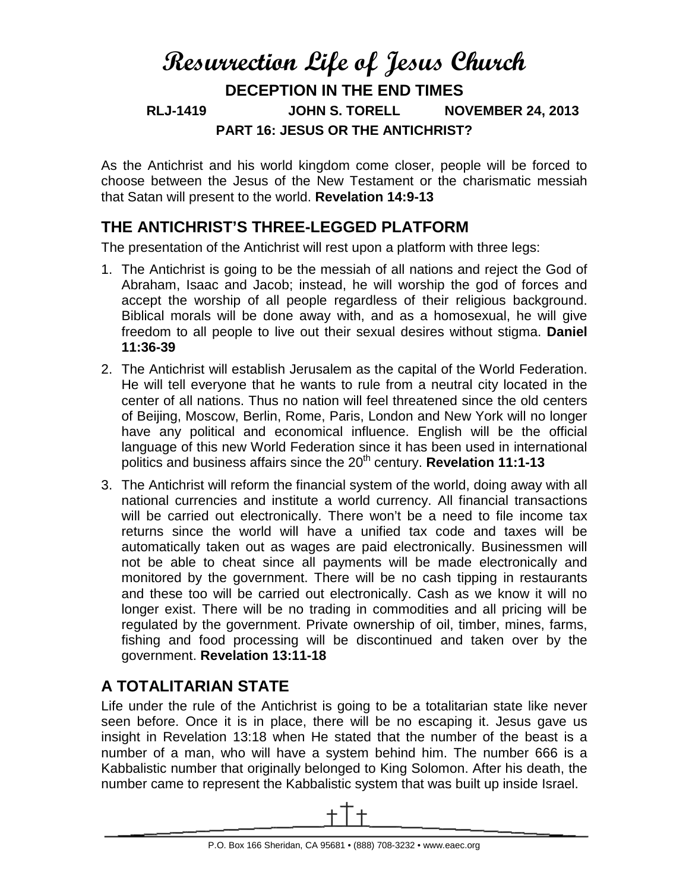# **Resurrection Life of Jesus Church DECEPTION IN THE END TIMES RLJ-1419 JOHN S. TORELL NOVEMBER 24, 2013 PART 16: JESUS OR THE ANTICHRIST?**

As the Antichrist and his world kingdom come closer, people will be forced to choose between the Jesus of the New Testament or the charismatic messiah that Satan will present to the world. **Revelation 14:9-13**

#### **THE ANTICHRIST'S THREE-LEGGED PLATFORM**

The presentation of the Antichrist will rest upon a platform with three legs:

- 1. The Antichrist is going to be the messiah of all nations and reject the God of Abraham, Isaac and Jacob; instead, he will worship the god of forces and accept the worship of all people regardless of their religious background. Biblical morals will be done away with, and as a homosexual, he will give freedom to all people to live out their sexual desires without stigma. **Daniel 11:36-39**
- 2. The Antichrist will establish Jerusalem as the capital of the World Federation. He will tell everyone that he wants to rule from a neutral city located in the center of all nations. Thus no nation will feel threatened since the old centers of Beijing, Moscow, Berlin, Rome, Paris, London and New York will no longer have any political and economical influence. English will be the official language of this new World Federation since it has been used in international politics and business affairs since the 20<sup>th</sup> century. **Revelation 11:1-13**
- 3. The Antichrist will reform the financial system of the world, doing away with all national currencies and institute a world currency. All financial transactions will be carried out electronically. There won't be a need to file income tax returns since the world will have a unified tax code and taxes will be automatically taken out as wages are paid electronically. Businessmen will not be able to cheat since all payments will be made electronically and monitored by the government. There will be no cash tipping in restaurants and these too will be carried out electronically. Cash as we know it will no longer exist. There will be no trading in commodities and all pricing will be regulated by the government. Private ownership of oil, timber, mines, farms, fishing and food processing will be discontinued and taken over by the government. **Revelation 13:11-18**

### **A TOTALITARIAN STATE**

<span id="page-0-0"></span>Life under the rule of the Antichrist is going to be a totalitarian state like never seen before. Once it is in place, there will be no escaping it. Jesus gave us insight in Revelation 13:18 when He stated that the number of the beast is a number of a man, who will have a system behind him. The number 666 is a Kabbalistic number that originally belonged to King Solomon. After his death, the number came to represent the Kabbalistic system that was built up inside Israel.

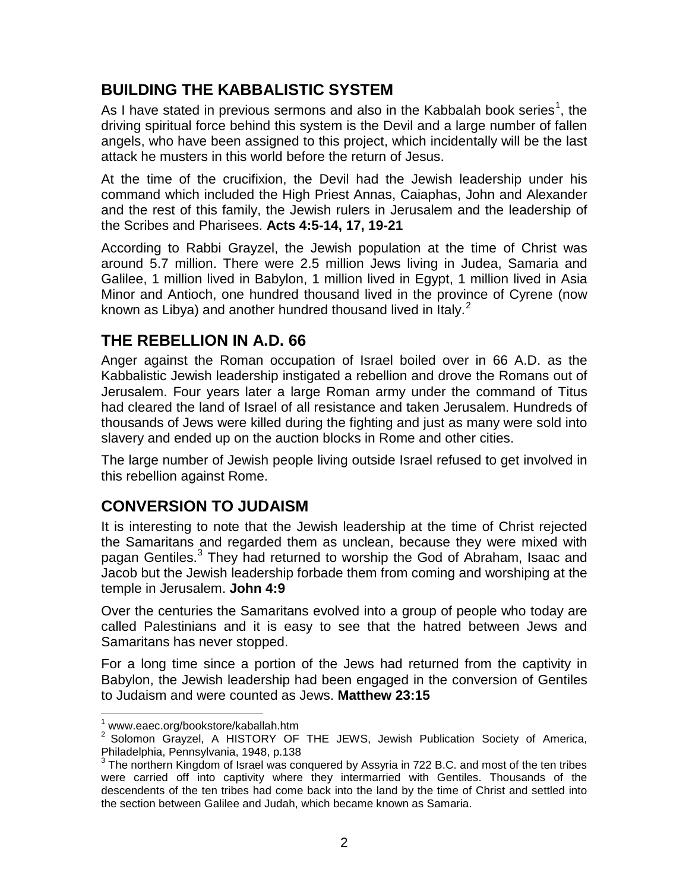#### **BUILDING THE KABBALISTIC SYSTEM**

As I have stated in previous sermons and also in the Kabbalah book series<sup>[1](#page-0-0)</sup>, the driving spiritual force behind this system is the Devil and a large number of fallen angels, who have been assigned to this project, which incidentally will be the last attack he musters in this world before the return of Jesus.

At the time of the crucifixion, the Devil had the Jewish leadership under his command which included the High Priest Annas, Caiaphas, John and Alexander and the rest of this family, the Jewish rulers in Jerusalem and the leadership of the Scribes and Pharisees. **Acts 4:5-14, 17, 19-21**

According to Rabbi Grayzel, the Jewish population at the time of Christ was around 5.7 million. There were 2.5 million Jews living in Judea, Samaria and Galilee, 1 million lived in Babylon, 1 million lived in Egypt, 1 million lived in Asia Minor and Antioch, one hundred thousand lived in the province of Cyrene (now known as Libya) and another hundred thousand lived in Italy.<sup>[2](#page-1-0)</sup>

#### **THE REBELLION IN A.D. 66**

Anger against the Roman occupation of Israel boiled over in 66 A.D. as the Kabbalistic Jewish leadership instigated a rebellion and drove the Romans out of Jerusalem. Four years later a large Roman army under the command of Titus had cleared the land of Israel of all resistance and taken Jerusalem. Hundreds of thousands of Jews were killed during the fighting and just as many were sold into slavery and ended up on the auction blocks in Rome and other cities.

The large number of Jewish people living outside Israel refused to get involved in this rebellion against Rome.

#### **CONVERSION TO JUDAISM**

It is interesting to note that the Jewish leadership at the time of Christ rejected the Samaritans and regarded them as unclean, because they were mixed with pagan Gentiles.<sup>[3](#page-1-1)</sup> They had returned to worship the God of Abraham, Isaac and Jacob but the Jewish leadership forbade them from coming and worshiping at the temple in Jerusalem. **John 4:9**

Over the centuries the Samaritans evolved into a group of people who today are called Palestinians and it is easy to see that the hatred between Jews and Samaritans has never stopped.

For a long time since a portion of the Jews had returned from the captivity in Babylon, the Jewish leadership had been engaged in the conversion of Gentiles to Judaism and were counted as Jews. **Matthew 23:15**

 <sup>1</sup> www.eaec.org/bookstore/kaballah.htm

<span id="page-1-0"></span><sup>&</sup>lt;sup>2</sup> Solomon Grayzel, A HISTORY OF THE JEWS, Jewish Publication Society of America, Philadelphia, Pennsylvania, 1948, p.138

<span id="page-1-1"></span>The northern Kingdom of Israel was conquered by Assyria in 722 B.C. and most of the ten tribes were carried off into captivity where they intermarried with Gentiles. Thousands of the descendents of the ten tribes had come back into the land by the time of Christ and settled into the section between Galilee and Judah, which became known as Samaria.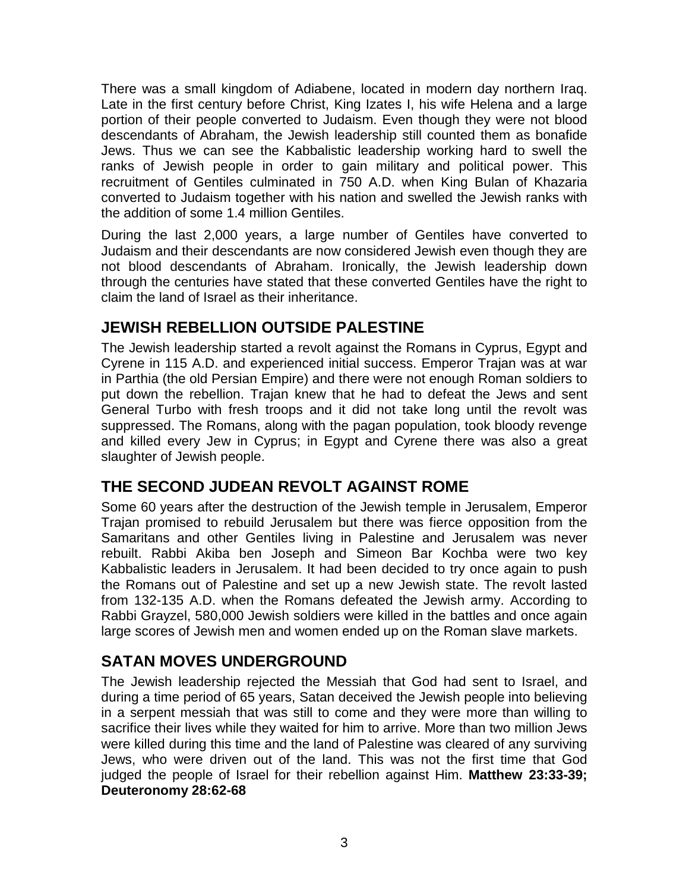There was a small kingdom of Adiabene, located in modern day northern Iraq. Late in the first century before Christ, King Izates I, his wife Helena and a large portion of their people converted to Judaism. Even though they were not blood descendants of Abraham, the Jewish leadership still counted them as bonafide Jews. Thus we can see the Kabbalistic leadership working hard to swell the ranks of Jewish people in order to gain military and political power. This recruitment of Gentiles culminated in 750 A.D. when King Bulan of Khazaria converted to Judaism together with his nation and swelled the Jewish ranks with the addition of some 1.4 million Gentiles.

During the last 2,000 years, a large number of Gentiles have converted to Judaism and their descendants are now considered Jewish even though they are not blood descendants of Abraham. Ironically, the Jewish leadership down through the centuries have stated that these converted Gentiles have the right to claim the land of Israel as their inheritance.

#### **JEWISH REBELLION OUTSIDE PALESTINE**

The Jewish leadership started a revolt against the Romans in Cyprus, Egypt and Cyrene in 115 A.D. and experienced initial success. Emperor Trajan was at war in Parthia (the old Persian Empire) and there were not enough Roman soldiers to put down the rebellion. Trajan knew that he had to defeat the Jews and sent General Turbo with fresh troops and it did not take long until the revolt was suppressed. The Romans, along with the pagan population, took bloody revenge and killed every Jew in Cyprus; in Egypt and Cyrene there was also a great slaughter of Jewish people.

#### **THE SECOND JUDEAN REVOLT AGAINST ROME**

Some 60 years after the destruction of the Jewish temple in Jerusalem, Emperor Trajan promised to rebuild Jerusalem but there was fierce opposition from the Samaritans and other Gentiles living in Palestine and Jerusalem was never rebuilt. Rabbi Akiba ben Joseph and Simeon Bar Kochba were two key Kabbalistic leaders in Jerusalem. It had been decided to try once again to push the Romans out of Palestine and set up a new Jewish state. The revolt lasted from 132-135 A.D. when the Romans defeated the Jewish army. According to Rabbi Grayzel, 580,000 Jewish soldiers were killed in the battles and once again large scores of Jewish men and women ended up on the Roman slave markets.

#### **SATAN MOVES UNDERGROUND**

The Jewish leadership rejected the Messiah that God had sent to Israel, and during a time period of 65 years, Satan deceived the Jewish people into believing in a serpent messiah that was still to come and they were more than willing to sacrifice their lives while they waited for him to arrive. More than two million Jews were killed during this time and the land of Palestine was cleared of any surviving Jews, who were driven out of the land. This was not the first time that God judged the people of Israel for their rebellion against Him. **Matthew 23:33-39; Deuteronomy 28:62-68**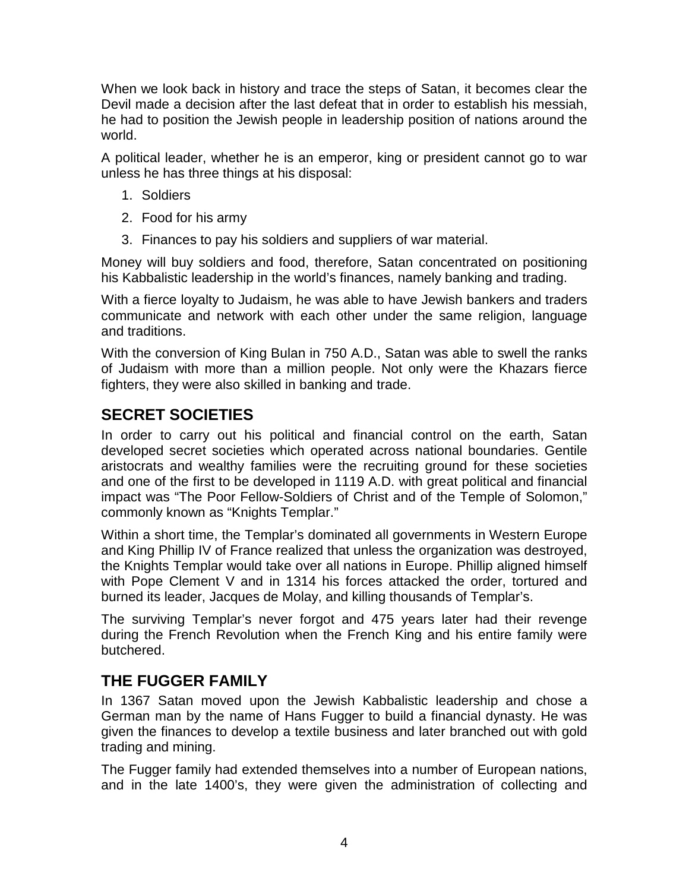When we look back in history and trace the steps of Satan, it becomes clear the Devil made a decision after the last defeat that in order to establish his messiah, he had to position the Jewish people in leadership position of nations around the world.

A political leader, whether he is an emperor, king or president cannot go to war unless he has three things at his disposal:

- 1. Soldiers
- 2. Food for his army
- 3. Finances to pay his soldiers and suppliers of war material.

Money will buy soldiers and food, therefore, Satan concentrated on positioning his Kabbalistic leadership in the world's finances, namely banking and trading.

With a fierce loyalty to Judaism, he was able to have Jewish bankers and traders communicate and network with each other under the same religion, language and traditions.

With the conversion of King Bulan in 750 A.D., Satan was able to swell the ranks of Judaism with more than a million people. Not only were the Khazars fierce fighters, they were also skilled in banking and trade.

### **SECRET SOCIETIES**

In order to carry out his political and financial control on the earth, Satan developed secret societies which operated across national boundaries. Gentile aristocrats and wealthy families were the recruiting ground for these societies and one of the first to be developed in 1119 A.D. with great political and financial impact was "The Poor Fellow-Soldiers of Christ and of the Temple of Solomon," commonly known as "Knights Templar."

Within a short time, the Templar's dominated all governments in Western Europe and King Phillip IV of France realized that unless the organization was destroyed, the Knights Templar would take over all nations in Europe. Phillip aligned himself with Pope Clement V and in 1314 his forces attacked the order, tortured and burned its leader, Jacques de Molay, and killing thousands of Templar's.

The surviving Templar's never forgot and 475 years later had their revenge during the French Revolution when the French King and his entire family were butchered.

#### **THE FUGGER FAMILY**

In 1367 Satan moved upon the Jewish Kabbalistic leadership and chose a German man by the name of Hans Fugger to build a financial dynasty. He was given the finances to develop a textile business and later branched out with gold trading and mining.

The Fugger family had extended themselves into a number of European nations, and in the late 1400's, they were given the administration of collecting and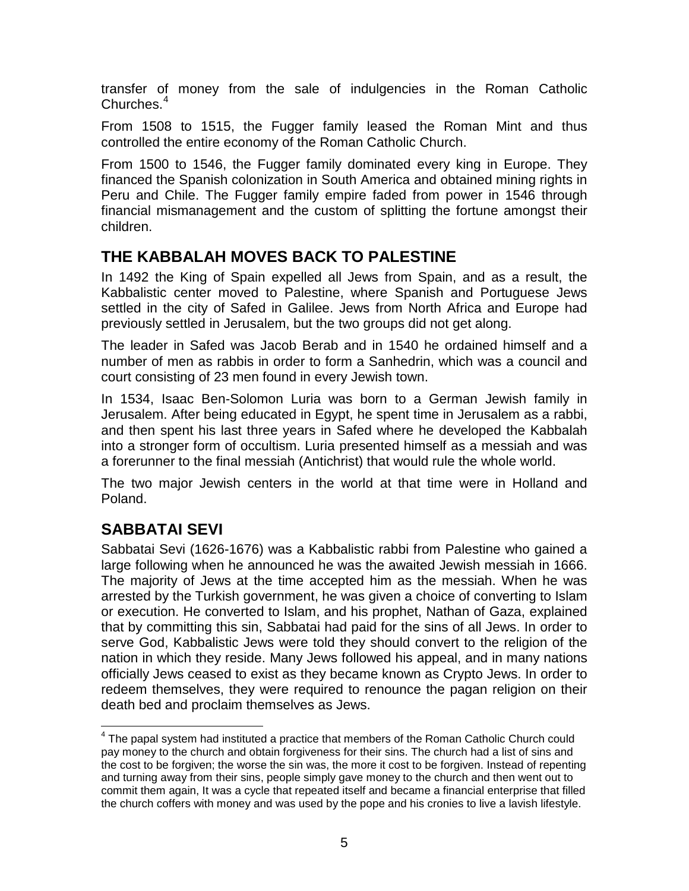transfer of money from the sale of indulgencies in the Roman Catholic Churches.<sup>[4](#page-1-0)</sup>

From 1508 to 1515, the Fugger family leased the Roman Mint and thus controlled the entire economy of the Roman Catholic Church.

From 1500 to 1546, the Fugger family dominated every king in Europe. They financed the Spanish colonization in South America and obtained mining rights in Peru and Chile. The Fugger family empire faded from power in 1546 through financial mismanagement and the custom of splitting the fortune amongst their children.

#### **THE KABBALAH MOVES BACK TO PALESTINE**

In 1492 the King of Spain expelled all Jews from Spain, and as a result, the Kabbalistic center moved to Palestine, where Spanish and Portuguese Jews settled in the city of Safed in Galilee. Jews from North Africa and Europe had previously settled in Jerusalem, but the two groups did not get along.

The leader in Safed was Jacob Berab and in 1540 he ordained himself and a number of men as rabbis in order to form a Sanhedrin, which was a council and court consisting of 23 men found in every Jewish town.

In 1534, Isaac Ben-Solomon Luria was born to a German Jewish family in Jerusalem. After being educated in Egypt, he spent time in Jerusalem as a rabbi, and then spent his last three years in Safed where he developed the Kabbalah into a stronger form of occultism. Luria presented himself as a messiah and was a forerunner to the final messiah (Antichrist) that would rule the whole world.

The two major Jewish centers in the world at that time were in Holland and Poland.

### **SABBATAI SEVI**

Sabbatai Sevi (1626-1676) was a Kabbalistic rabbi from Palestine who gained a large following when he announced he was the awaited Jewish messiah in 1666. The majority of Jews at the time accepted him as the messiah. When he was arrested by the Turkish government, he was given a choice of converting to Islam or execution. He converted to Islam, and his prophet, Nathan of Gaza, explained that by committing this sin, Sabbatai had paid for the sins of all Jews. In order to serve God, Kabbalistic Jews were told they should convert to the religion of the nation in which they reside. Many Jews followed his appeal, and in many nations officially Jews ceased to exist as they became known as Crypto Jews. In order to redeem themselves, they were required to renounce the pagan religion on their death bed and proclaim themselves as Jews.

 $<sup>4</sup>$  The papal system had instituted a practice that members of the Roman Catholic Church could</sup> pay money to the church and obtain forgiveness for their sins. The church had a list of sins and the cost to be forgiven; the worse the sin was, the more it cost to be forgiven. Instead of repenting and turning away from their sins, people simply gave money to the church and then went out to commit them again, It was a cycle that repeated itself and became a financial enterprise that filled the church coffers with money and was used by the pope and his cronies to live a lavish lifestyle.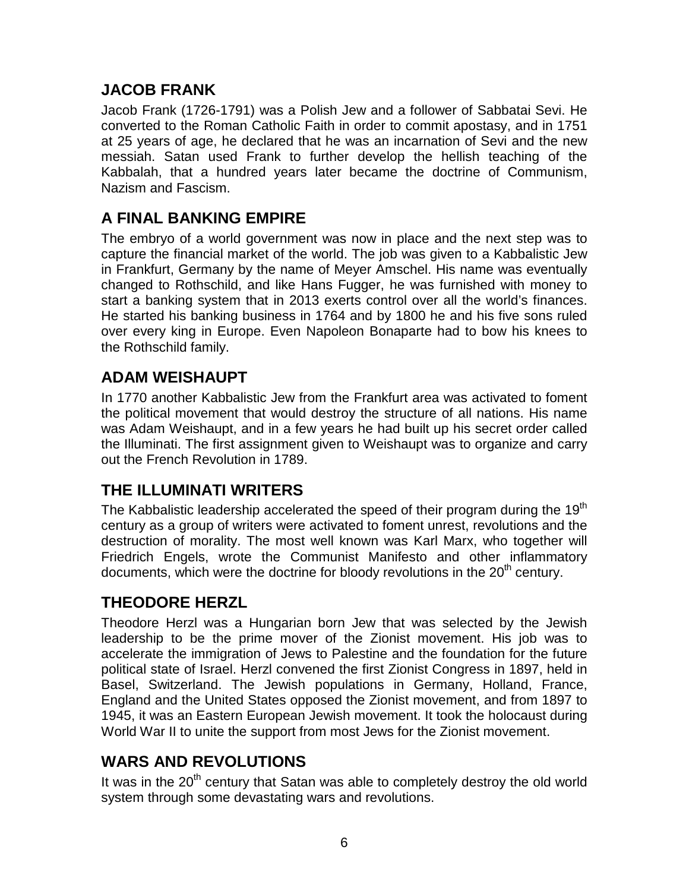#### **JACOB FRANK**

Jacob Frank (1726-1791) was a Polish Jew and a follower of Sabbatai Sevi. He converted to the Roman Catholic Faith in order to commit apostasy, and in 1751 at 25 years of age, he declared that he was an incarnation of Sevi and the new messiah. Satan used Frank to further develop the hellish teaching of the Kabbalah, that a hundred years later became the doctrine of Communism, Nazism and Fascism.

## **A FINAL BANKING EMPIRE**

The embryo of a world government was now in place and the next step was to capture the financial market of the world. The job was given to a Kabbalistic Jew in Frankfurt, Germany by the name of Meyer Amschel. His name was eventually changed to Rothschild, and like Hans Fugger, he was furnished with money to start a banking system that in 2013 exerts control over all the world's finances. He started his banking business in 1764 and by 1800 he and his five sons ruled over every king in Europe. Even Napoleon Bonaparte had to bow his knees to the Rothschild family.

### **ADAM WEISHAUPT**

In 1770 another Kabbalistic Jew from the Frankfurt area was activated to foment the political movement that would destroy the structure of all nations. His name was Adam Weishaupt, and in a few years he had built up his secret order called the Illuminati. The first assignment given to Weishaupt was to organize and carry out the French Revolution in 1789.

### **THE ILLUMINATI WRITERS**

The Kabbalistic leadership accelerated the speed of their program during the 19<sup>th</sup> century as a group of writers were activated to foment unrest, revolutions and the destruction of morality. The most well known was Karl Marx, who together will Friedrich Engels, wrote the Communist Manifesto and other inflammatory documents, which were the doctrine for bloody revolutions in the 20<sup>th</sup> century.

#### **THEODORE HERZL**

Theodore Herzl was a Hungarian born Jew that was selected by the Jewish leadership to be the prime mover of the Zionist movement. His job was to accelerate the immigration of Jews to Palestine and the foundation for the future political state of Israel. Herzl convened the first Zionist Congress in 1897, held in Basel, Switzerland. The Jewish populations in Germany, Holland, France, England and the United States opposed the Zionist movement, and from 1897 to 1945, it was an Eastern European Jewish movement. It took the holocaust during World War II to unite the support from most Jews for the Zionist movement.

### **WARS AND REVOLUTIONS**

It was in the  $20<sup>th</sup>$  century that Satan was able to completely destroy the old world system through some devastating wars and revolutions.